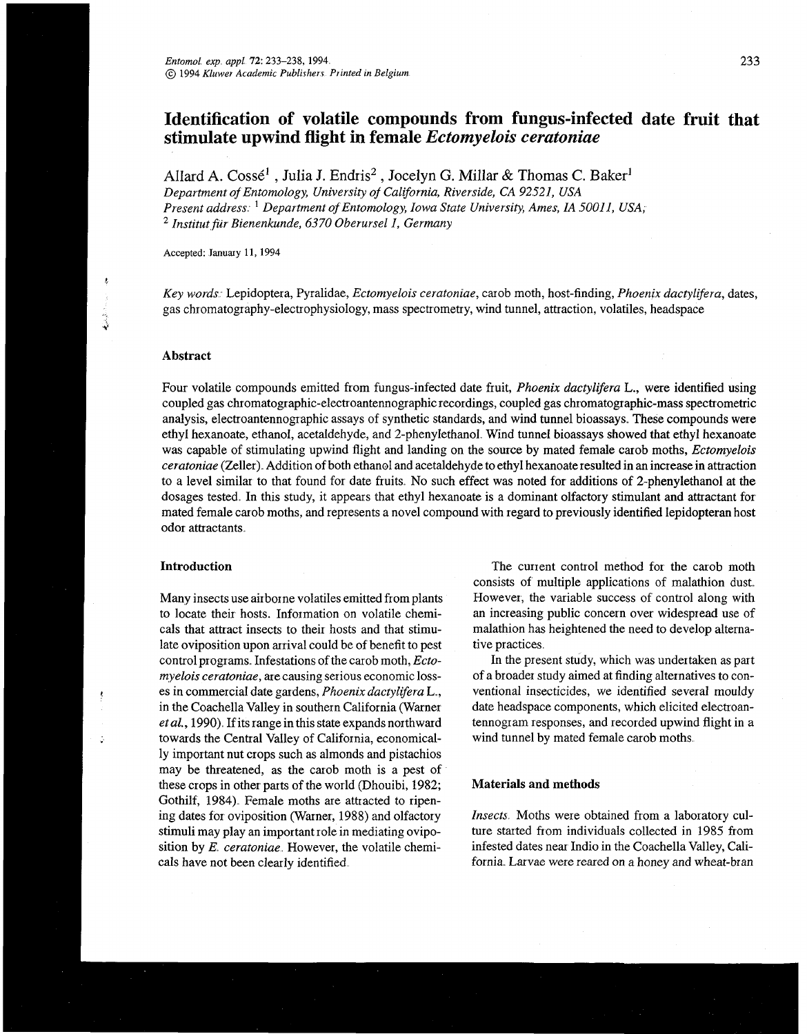Allard A.  $\text{Coss}^{1}$ , Julia J. Endris<sup>2</sup>, Jocelyn G. Millar & Thomas C. Baker<sup>1</sup> *Department of Entomology, University of California, Riverside, CA 92521, USA Present address* ' *Department of Entomology, Iowa State University, Ames, IA 50011, USA,*  <sup>2</sup> Institut für Bienenkunde, 6370 Oberursel 1, Germany

Accepted: January 11, 1994

*Key words* Lepidoptera, Pyralidae, *Ectomyelois ceratoniae,* carob moth, host-finding, *Phoenix dactylifera,* dates, gas *chromatography-electrophysiology,* mass spectrometry, wind tunnel, attraction, volatiles, headspace

#### **Abstract**

Four volatile compounds emitted from fungus-infected date fruit, *Phoenix dactylifera* L., were identified using coupled gas chromatographic-electroantennographic recordings, coupled gas chromatographic-mass spectrometric analysis, electroantennographic assays of synthetic standards, and wind tunnel bioassays These compounds were ethyl hexanoate, ethanol, acetaldehyde, and 2-phenylethanol Wind tunnel bioassays showed that ethyl hexanoate was capable of stimulating upwind flight and landing on the souice by mated female carob moths, *Ectomyelois ceratoniae* (Zeller) Addition of both ethanol and acetaldehyde to ethyl hexanoate resulted in an increase in attraction to a level similar to that found for date fruits No such effect was noted for additions of 2-phenylethanol at the dosages tested. In this study, it appears that ethyl hexanoate is a dominant olfactory stimulant and attractant for mated female carob moths, and represents a novel compound with regard to previously identified lepidopteran host odor attractants,

# **Introduction**

Many insects use airborne volatiles emitted from plants to locate their hosts. Information on volatile chemicals that attract insects to their hosts and that stimulate oviposition upon arrival could be of benefit to pest control programs Infestations of the carob moth, *Ectomyelois ceratoniae,* are causing serious economic losses in commercial date gardens, *Phoenix dactylifera* L., in the Coachella Valley in southern California (Warner et al., 1990). If its range in this state expands northward towards the Central Valley of California, economically important nut crops such as almonds and pistachios may be threatened, as the carob moth is a pest of these crops in other parts of the world (Dhouibi, 1982; Gothilf, 1984). Female moths are attracted to ripening dates for oviposition (Warner, 1988) and olfactory stimuli may play an important role in mediating oviposition by *E. ceratoniae*. However, the volatile chemicals have not been clearly identified

The current control method for the carob moth consists of multiple applications of malathion dust However, the variable success of control along with an increasing public concern over widespread use of malathion has heightened the need to develop alternative practices

In the present study, which was undertaken as part of a broader study aimed at finding alternatives to conventional insecticides, we identified several mouldy date headspace components, which elicited electroantennogram responses, and recorded upwind flight in a wind tunnel by mated female carob moths

## **Materials and methods**

*Insects* Moths were obtained from a laboratory culture started from individuals collected in 1985 from infested dates near Indio in the Coachella Valley, California Larvae were reared on a honey and wheat-bran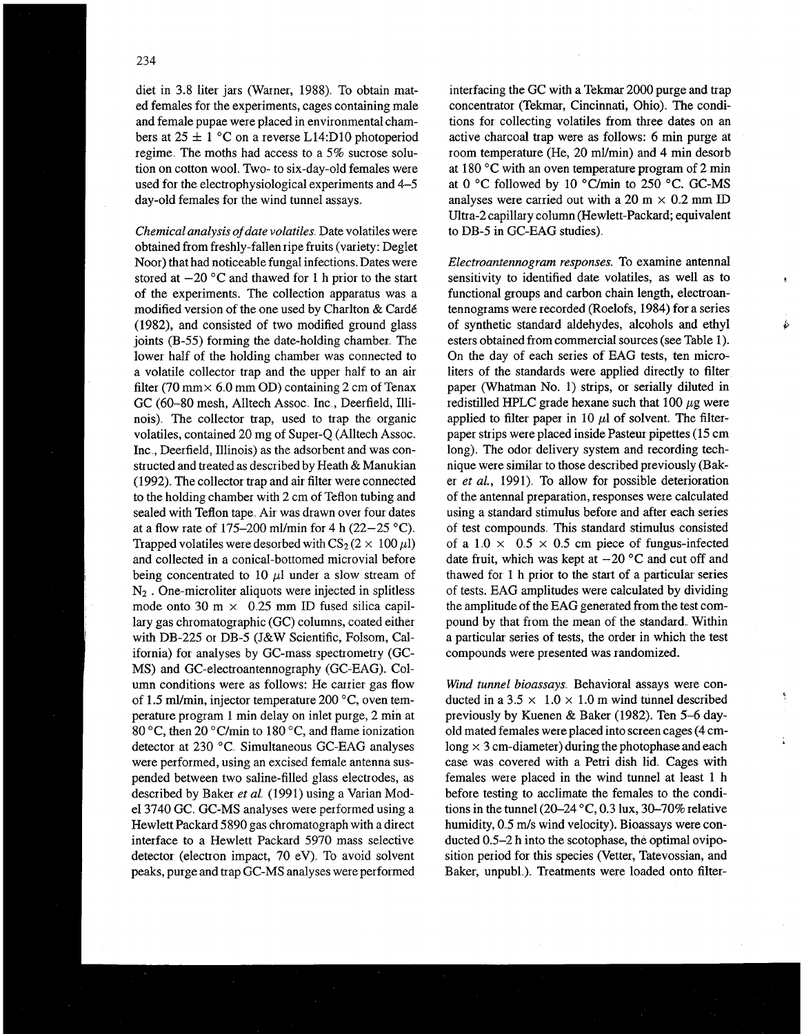diet in 3.8 liter jars (Warner, 1988). To obtain mated females for the experiments, cages containing male and female pupae were placed in environmental chambers at  $25 \pm 1$  °C on a reverse L14:D10 photoperiod regime. The moths had access to a  $5\%$  sucrose solution on cotton wool. Two- to six-day-old females were used for the electrophysiological experiments and 4-5 day-old females for the wind tunnel assays.

*Chemical analysis ojdate volatiles* Date volatiles were obtained from freshly-fallen ripe fruits (variety: Deglet Noor) that had noticeable fungal infections. Dates were stored at  $-20$  °C and thawed for 1 h prior to the start of the experiments. The collection apparatus was a modified version of the one used by Charlton & Card6 (1982), and consisted of two modified ground glass joints (B-55) forming the date-holding chamber. The lower half of the holding chamber was connected to a volatile collector trap and the upper half to an air filter (70 mm $\times$  6.0 mm OD) containing 2 cm of Tenax GC (60-80 mesh, Alltech Assoc Inc , Deerfield, Illinois) The collector trap, used to trap the organic volatiles, contained 20 mg of Super-Q (Alltech Assoc Inc , Deerfield, Illinois) as the adsorbent and was constructed and treated as described by Heath & Manukian (1992) The collector trap and air filter were connected to the holding chamber with 2 cm of Teflon tubing and sealed with Teflon tape. Air was drawn over four dates at a flow rate of 175-200 ml/min for 4 h (22-25 °C). Trapped volatiles were desorbed with  $CS_2 (2 \times 100 \,\mu\text{I})$ and collected in a conical-bottomed microvial before being concentrated to 10  $\mu$ l under a slow stream of  $N_2$ . One-microliter aliquots were injected in splitless mode onto 30 m  $\times$  0.25 mm ID fused silica capillary gas chromatographic (GC) columns, coated either with DB-225 or DB-5 (J&W Scientific, Folsom, California) for analyses by GC-mass spectrometry (GC-MS) and GC-electroantennography (GC-EAG). Column conditions were as follows: He carrier gas flow of 1.5 ml/min, injector temperature 200  $\degree$ C, oven temperature program 1 min delay on inlet purge, 2 min at 80 °C, then 20 °C/min to 180 °C, and flame ionization detector at 230 °C. Simultaneous GC-EAG analyses were performed, using an excised female antenna suspended between two saline-filled glass electrodes, as described by Baker *et a1* (1991) using a Varian Model 3740 GC GC-MS analyses were performed using a Hewlett Packard 5890 gas chromatograph with a direct interface to a Hewlett Packard 5970 mass selective detector (electron impact, 70 eV). To avoid solvent peaks, purge and trap GC-MS analyses were performed

interfacing the GC with a Tekmar 2000 purge and trap concentrator (Tekmar, Cincinnati, Ohio). The conditions for collecting volatiles from three dates on an active charcoal trap were as follows: 6 min purge at room temperature (He,  $20 \text{ ml/min}$ ) and  $4 \text{ min}$  desorb at 180  $\degree$ C with an oven temperature program of 2 min at 0 °C followed by 10 °C/min to 250 °C. GC-MS analyses were carried out with a 20 m  $\times$  0.2 mm ID Ultra-2 capillary column (Hewlett-Packard; equivalent to DB-5 in GC-EAG studies)

*Electroantennogram responses* To examine antennal sensitivity to identified date volatiles, as well as to **<sup>4</sup>** functional groups and carbon chain length, electroantennograms were recorded (Roelofs, 1984) for a series of synthetic standard aldehydes, alcohols and ethyl *4*  esters obtained from commercial sources (see Table 1). On the day of each series of EAG tests, ten microliters of the standards were applied directly to filter paper (Whatman No. 1) strips, or serially diluted in redistilled HPLC grade hexane such that  $100 \mu$ g were applied to filter paper in 10  $\mu$ l of solvent. The filterpaper strips were placed inside Pasteur pipettes (15 cm long). The odor delivery system and recording technique were similar to those described previously (Baker *et al.*, 1991). To allow for possible deterioration of the antenna1 preparation, responses were calculated using a standard stimulus before and after each series of test compounds This standard stimulus consisted of a  $1.0 \times 0.5 \times 0.5$  cm piece of fungus-infected date fruit, which was kept at  $-20$  °C and cut off and thawed for 1 h prior to the start of a particular series of tests. EAG amplitudes were calculated by dividing the amplitude of the EAG generated from the test compound by that from the mean of the standard. Within a particular series of tests, the order in which the test compounds were presented was randomized.

*Wind tunnel bioassays*. Behavioral assays were conducted in a 3.5  $\times$  1.0  $\times$  1.0 m wind tunnel described  $^{1}$ previously by Kuenen & Baker (1982). Ten 5-6 dayold mated females were placed into screen cages (4 cmlong  $\times$  3 cm-diameter) during the photophase and each case was covered with a Petri dish lid. Cages with females were placed in the wind tunnel at least 1 h before testing to acclimate the females to the conditions in the tunnel (20-24  $\degree$ C, 0.3 lux, 30-70% relative humidity,  $0.5$  m/s wind velocity). Bioassays were conducted  $0.5-2$  h into the scotophase, the optimal oviposition period for this species (Vetter, Tatevossian, and Baker, unpubl.). Treatments were loaded onto filter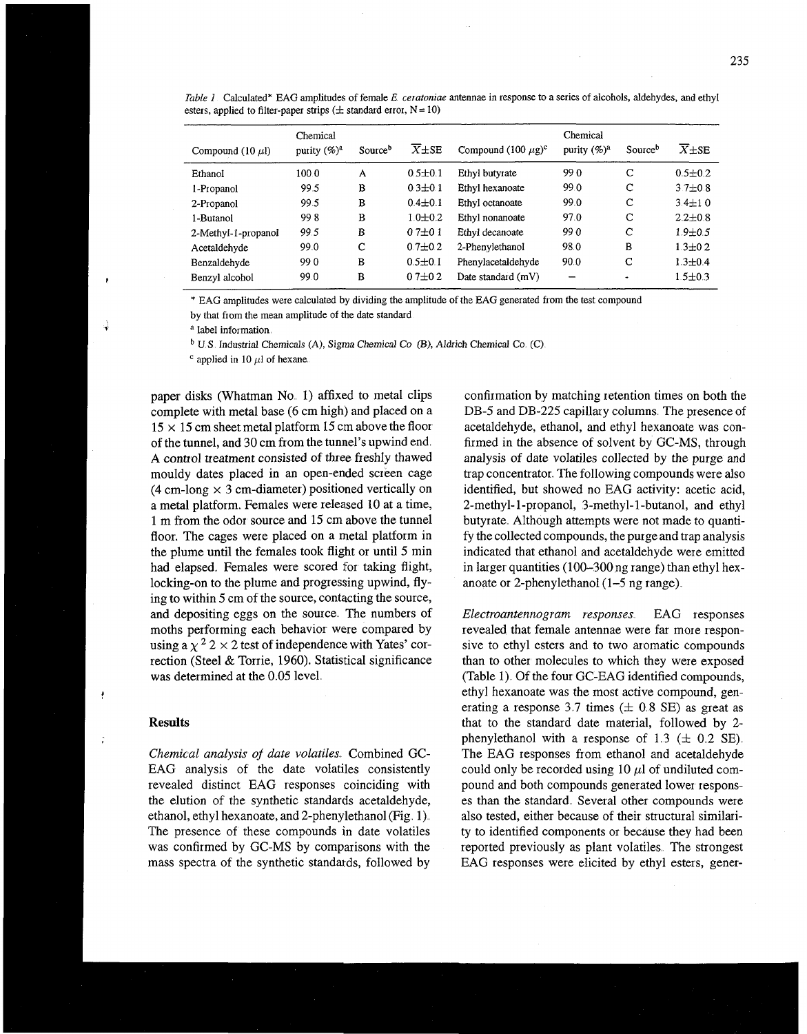*Table* **1** Calculated\* EAG amplitudes of female E *ceratontae* antennae in Iesponse to a series of alcohols, aldehydes, and ethyl esters, applied to filter-paper strips  $(\pm$  standard error, N = 10)

| Compound (10 $\mu$ l) | Chemical<br>purity $(\%)^a$ | Source <sup>b</sup> | $\overline{X} \pm SE$ | Compound $(100 \ \mu g)^c$ | Chemical<br>purity $(\%)^a$ | Source <sup>b</sup> | $\overline{X}$ ±SE |  |  |
|-----------------------|-----------------------------|---------------------|-----------------------|----------------------------|-----------------------------|---------------------|--------------------|--|--|
| Ethanol               | 100.0                       | A                   | $0.5 \pm 0.1$         | Ethyl butyrate             | 990                         | C                   | $0.5 \pm 0.2$      |  |  |
| 1-Propanol            | 99.5                        | B                   | $0.3 \pm 0.1$         | Ethyl hexanoate            | 99.0                        | C                   | $3.7 \pm 0.8$      |  |  |
| 2-Propanol            | 99.5                        | B                   | $0.4 \pm 0.1$         | Ethyl octanoate            | 99.0                        | C                   | $3.4 \pm 1.0$      |  |  |
| 1-Butanol             | 998                         | B                   | $1.0 + 0.2$           | Ethyl nonanoate            | 97.0                        | C                   | $2.2 \pm 0.8$      |  |  |
| 2-Methyl-1-propanol   | 99.5                        | B                   | $07 + 01$             | Ethyl decanoate            | 990                         | C                   | $1.9 + 0.5$        |  |  |
| Acetaldehyde          | 99.0                        | C                   | $0.7 + 0.2$           | 2-Phenvlethanol            | 98.0                        | B                   | $1.3 \pm 0.2$      |  |  |
| Benzaldehyde          | 990                         | B                   | $0.5 \pm 0.1$         | Phenylacetaldehyde         | 90.0                        | C                   | $1.3 + 0.4$        |  |  |
| Benzyl alcohol        | 99.0                        | B                   | $07 + 02$             | Date standard (mV)         |                             | ۰                   | $1.5 \pm 0.3$      |  |  |

\* EAG amplitudes were calculated by dividing the amplitude of the EAG generated from the test compound

by that from the mean amplitude of the date standard

<sup>a</sup> label information.

<sup>b</sup> U.S. Industrial Chemicals (A), Sigma Chemical Co (B), Aldrich Chemical Co. (C).

 $\degree$  applied in 10  $\mu$ l of hexane.

paper disks (Whatman No 1) affixed to metal clips complete with metal base (6 cm high) and placed on a  $15 \times 15$  cm sheet metal platform 15 cm above the floor of the tunnel, and 30 cm from the tunnel's upwind end. A control treatment consisted of three freshly thawed mouldy dates placed in an open-ended screen cage (4 cm-long  $\times$  3 cm-diameter) positioned vertically on a metal platform. Females were released 10 at a time, 1 m from the odor source and 15 cm above the tunnel floor. The cages were placed on a metal platform in the plume until the females took flight or until 5 min had elapsed. Females were scored for taking flight, locking-on to the plume and progressing upwind, flying to within 5 cm of the source, contacting the source, and depositing eggs on the source The numbers of moths performing each behavior were compared by using a  $\chi^2$  2 × 2 test of independence with Yates' correction (Steel & Torrie, 1960). Statistical significance was determined at the 0.05 level

# **Results**

*Chemical analysis of date volatiles* Combined GC-EAG analysis of the date volatiles consistently revealed distinct EAG responses coinciding with the elution of the synthetic standards acetaldehyde, ethanol, ethyl hexanoate, and 2-phenylethanol (Fig. 1). The presence of these compounds in date volatiles was confirmed by GC-MS by comparisons with the mass spectra of the synthetic standards, followed by confirmation by matching retention times on both the DB-5 and DB-225 capillary columns. The presence of acetaldehyde, ethanol, and ethyl hexanoate was confirmed in the absence of solvent by GC-MS, through analysis of date volatiles collected by the purge and trap concentrator The following compounds were also identified, but showed no EAG activity: acetic acid, 2-methyl- 1-propanol, 3-methyl- 1-butanol, and ethyl butyrate Although attempts were not made to quantify the collected compounds, the purge and trap analysis indicated that ethanol and acetaldehyde were emitted in larger quantities (100-3OOng range) than ethyl hexanoate or 2-phenylethanol  $(1-5$  ng range).

*Electroantennogram responses* EAG responses revealed that female antennae were far more responsive to ethyl esters and to two aromatic compounds than to other molecules to which they were exposed (Table 1). Of the four GC-EAG identified compounds, ethyl hexanoate was the most active compound, generating a response 3.7 times  $(\pm 0.8 \text{ SE})$  as great as that to the standard date material, followed by 2 phenylethanol with a response of 1.3  $(\pm 0.2 \text{ SE})$ . The EAG responses from ethanol and acetaldehyde could only be recorded using 10  $\mu$ l of undiluted compound and both compounds generated lower responses than the standard. Several other compounds were also tested, either because of their structural similarity to identified components or because they had been reported previously as plant volatiles. The strongest EAG responses were elicited by ethyl esters, gener-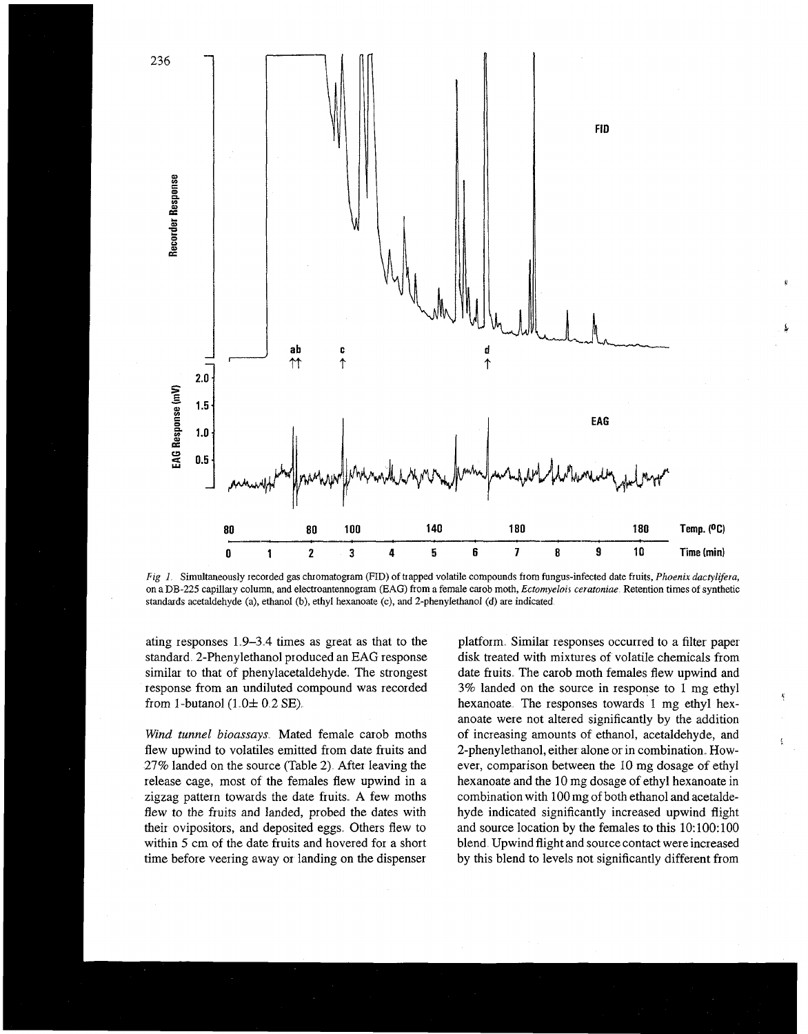

**Fg 1** Simultaneously recorded gas chromatogram (FID) of trapped volatile compounds from fungus-infected date fruits, *Phoenu ducfylijeru,*  on a DB-225 capillary column, and electroantennogram (EAG) from a female carob moth, *Ectomyelois ceratoniae*. Retention times of synthetic standards acetaldehyde (a), ethanol (b), ethyl hexanoate (c), and 2-phenylethanol (d) are indicated

ating responses 1 9-3 4 times as great as that to the standard. 2-Phenylethanol produced an EAG response similar to that of phenylacetaldehyde. The strongest response from an undiluted compound was recorded from 1-butanol  $(1.0 \pm 0.2$  SE).

*Wind tunnel bioassays* Mated female carob moths flew upwind to volatiles emitted from date fruits and 27% landed on the source (Table 2) After leaving the release cage, most of the females flew upwind in a zigzag pattern towards the date fruits **A** few moths flew to the fruits and landed, probed the dates with their ovipositors, and deposited eggs Others flew to within *5* cm of the date fruits and hovered for a short time before veering away or landing on the dispenser

platform Similar responses occurred to a filter paper disk treated with mixtures of volatile chemicals from date fruits. The carob moth females flew upwind and 3% landed on the source in response to 1 mg ethyl & hexanoate. The responses towards 1 mg ethyl hexanoate were not altered significantly by the addition of increasing amounts of ethanol, acetaldehyde, and \$ 2-phenylethanol, either alone or in combination. However, comparison between the 10 mg dosage of ethyl hexanoate and the 10 mg dosage of ethyl hexanoate in combination with 100 mg of both ethanol and acetaldehyde indicated significantly increased upwind flight and source location by the females to this 10: 100: 100 blend. Upwind flight and source contact were increased by this blend to levels not significantly different from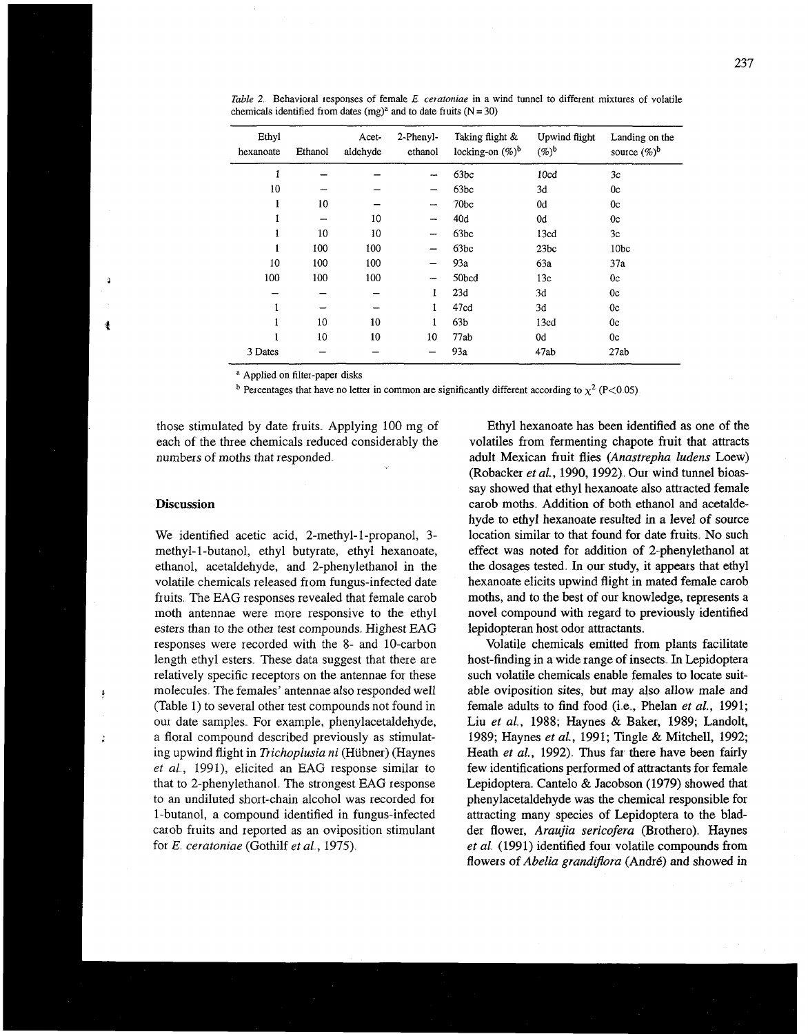| Ethyl<br>hexanoate | Ethanol | Acet-<br>aldehyde | 2-Phenyl-<br>ethanol | Taking flight &<br>locking-on $(\%)^b$ | Upwind flight<br>$(\%)^{\mathsf{b}}$ | Landing on the<br>source $(\%)^b$ |
|--------------------|---------|-------------------|----------------------|----------------------------------------|--------------------------------------|-----------------------------------|
| 1                  |         |                   |                      | 63bc                                   | 10cd                                 | 3c                                |
| 10                 |         |                   |                      | 63bc                                   | 3d                                   | 0c                                |
| 1                  | 10      |                   |                      | 70 <sub>bc</sub>                       | 0d                                   | 0c                                |
| 1                  |         | 10                |                      | 40d                                    | 0d                                   | 0c                                |
| 1                  | 10      | 10                |                      | 63bc                                   | 13cd                                 | 3c                                |
|                    | 100     | 100               |                      | 63bc                                   | 23bc                                 | 10bc                              |
| 10                 | 100     | 100               |                      | 93a                                    | 63a                                  | 37a                               |
| 100                | 100     | 100               |                      | 50bcd                                  | 13c                                  | 0c                                |
|                    |         |                   | 1                    | 23d                                    | 3d                                   | 0c                                |
| 1                  |         |                   | 1                    | 47cd                                   | 3d                                   | 0c                                |
|                    | 10      | 10                |                      | 63 <sub>b</sub>                        | 13cd                                 | 0c                                |
|                    | 10      | 10                | 10                   | 77ab                                   | 0d                                   | 0 <sup>c</sup>                    |
| 3 Dates            |         |                   |                      | 93a                                    | 47ab                                 | 27ab                              |

*Table 2.* Behavioral responses of female *E ceratoniae* in a wind tunnel to different mixtures of volatile chemicals identified from dates (mg)<sup>a</sup> and to date fruits (N = 30)

<sup>a</sup> Applied on filter-paper disks

<sup>b</sup> Percentages that have no letter in common are significantly different according to  $\chi^2$  (P<0.05)

those stimulated by date fruits Applying 100 mg of each of the three chemicals reduced considerably the numbers of moths that responded

# Discussion

 $\overline{z}$ 

We identified acetic acid, 2-methyl-1-propanol, 3 methyl-1-butanol, ethyl butyrate, ethyl hexanoate, ethanol, acetaldehyde, and 2-phenylethanol in the volatile chemicals released from fungus-infected date fruits The EAG responses revealed that female carob moth antennae were more responsive to the ethyl esters than to the other test compounds. Highest EAG responses were recorded with the 8- and 10-carbon length ethyl esters. These data suggest that there are relatively specific receptors on the antennae for these molecules The females' antennae also responded well (Table 1) to several other test compounds not found in our date samples. For example, phenylacetaldehyde, a floral compound described previously as stimulating upwind flight in Trichoplusia ni (Hübner) (Haynes  $et \ al., 1991$ , elicited an EAG response similar to that to 2-phenylethanol. The strongest EAG response to an undiluted short-chain alcohol was recorded for 1-butanol, a compound identified in fungus-infected carob fruits and reported as an oviposition stimulant for  $E$  ceratoniae (Gothilf et al., 1975).

Ethyl hexanoate has been identified as one of the volatiles from fermenting chapote fruit that attracts adult Mexican fruit flies (Anastrepha ludens Loew) (Robacker *et al.*, 1990, 1992). Our wind tunnel bioassay showed that ethyl hexanoate also attracted female carob moths Addition of both ethanol and acetaldehyde to ethyl hexanoate resulted in a level of source location similar to that found for date fruits. No such effect was noted for addition of 2-phenylethanol at the dosages tested. In our study, it appears that ethyl hexanoate elicits upwind flight in mated female carob moths, and to the best of our knowledge, represents a novel compound with regard to previously identified lepidopteran host odor attractants.

Volatile chemicals emitted from plants facilitate host-finding in a wide range of insects In Lepidoptera such volatile chemicals enable females to locate suitable oviposition sites, but may also allow male and female adults to find food (i.e., Phelan et al., 1991; Liu et al, 1988; Haynes & Baker, 1989; Landolt, 1989; Haynes et al., 1991; Tingle & Mitchell, 1992; Heath et al., 1992). Thus far there have been fairly few identifications performed of attractants for female Lepidoptera. Cantelo & Jacobson (1979) showed that phenylacetaldehyde was the chemical responsible for attracting many species of Lepidoptera to the bladder flower, Araujia sericofera (Brothero). Haynes et al. (1991) identified four volatile compounds from flowers of Abelia grandiflora (André) and showed in